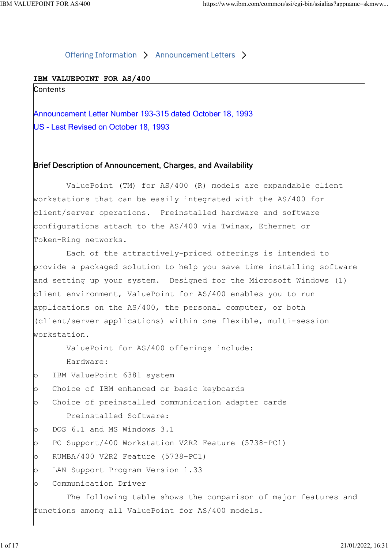## IBM VALUEPOINT FOR AS/400

POINT FOR AS/400<br>
Offering Information > Announcement Letters ><br> **Announcement Letter Number 193-315 dated October 18, 1993**<br>
US - Last Revised on October 18, 1993<br>
US - Last Revised on October 18, 1993 US - Last Revised on October 18, 1993

## Brief Description of Announcement, Charges, and Availability

 ValuePoint (TM) for AS/400 (R) models are expandable client workstations that can be easily integrated with the AS/400 for client/server operations. Preinstalled hardware and software configurations attach to the AS/400 via Twinax, Ethernet or Token-Ring networks.

 Each of the attractively-priced offerings is intended to provide a packaged solution to help you save time installing software and setting up your system. Designed for the Microsoft Windows (1) client environment, ValuePoint for AS/400 enables you to run applications on the AS/400, the personal computer, or both (client/server applications) within one flexible, multi-session workstation.

ValuePoint for AS/400 offerings include:

Hardware:

o IBM ValuePoint 6381 system

o Choice of IBM enhanced or basic keyboards

o Choice of preinstalled communication adapter cards Preinstalled Software:

o DOS 6.1 and MS Windows 3.1

o PC Support/400 Workstation V2R2 Feature (5738-PC1)

o RUMBA/400 V2R2 Feature (5738-PC1)

o LAN Support Program Version 1.33

o Communication Driver

 The following table shows the comparison of major features and functions among all ValuePoint for AS/400 models.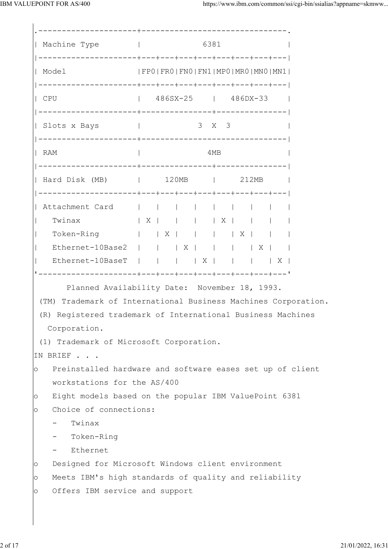| Machine Type                                                                                                                                                                                                                              |                               |                                                                                                            |  | 6381 |       |                                                         |  |  |  |
|-------------------------------------------------------------------------------------------------------------------------------------------------------------------------------------------------------------------------------------------|-------------------------------|------------------------------------------------------------------------------------------------------------|--|------|-------|---------------------------------------------------------|--|--|--|
| FPO   FRO   FNO   FN1   MPO   MRO   MNO   MN1  <br>  Model                                                                                                                                                                                |                               |                                                                                                            |  |      |       |                                                         |  |  |  |
| $\vert$ CPU                                                                                                                                                                                                                               | $ $ 486SX-25 $ $ 486DX-33 $ $ |                                                                                                            |  |      |       |                                                         |  |  |  |
| Slots x Bays                                                                                                                                                                                                                              |                               |                                                                                                            |  |      | 3 X 3 |                                                         |  |  |  |
| $ $ RAM                                                                                                                                                                                                                                   |                               | 4MB                                                                                                        |  |      |       |                                                         |  |  |  |
| Hard Disk (MB)   120MB   212MB                                                                                                                                                                                                            |                               |                                                                                                            |  |      |       |                                                         |  |  |  |
| Attachment Card                                                                                                                                                                                                                           |                               |                                                                                                            |  |      |       |                                                         |  |  |  |
| Twinax $ X  +  X $                                                                                                                                                                                                                        |                               |                                                                                                            |  |      | X     |                                                         |  |  |  |
| Token-Ring     X                                                                                                                                                                                                                          |                               |                                                                                                            |  |      |       | $\vert$ $\vert$ $\vert$ $\vert$ $\vert$ $\vert$ $\vert$ |  |  |  |
| $\mathbf{L}$<br>Ethernet-10Base2         X         X                                                                                                                                                                                      |                               |                                                                                                            |  |      |       |                                                         |  |  |  |
| Ethernet-10BaseT           X         X  <br>$\vert$                                                                                                                                                                                       |                               |                                                                                                            |  |      |       |                                                         |  |  |  |
| Planned Availability Date: November 18, 1993.<br>(TM) Trademark of International Business Machines Corporation.<br>(R) Registered trademark of International Business Machines<br>Corporation.<br>(1) Trademark of Microsoft Corporation. |                               |                                                                                                            |  |      |       |                                                         |  |  |  |
| IN BRIEF                                                                                                                                                                                                                                  |                               |                                                                                                            |  |      |       |                                                         |  |  |  |
| Preinstalled hardware and software eases set up of client<br>$\circ$                                                                                                                                                                      |                               |                                                                                                            |  |      |       |                                                         |  |  |  |
| workstations for the AS/400                                                                                                                                                                                                               |                               | Eight models based on the popular IBM ValuePoint 6381                                                      |  |      |       |                                                         |  |  |  |
| $\circ$<br>Choice of connections:                                                                                                                                                                                                         |                               |                                                                                                            |  |      |       |                                                         |  |  |  |
| $\circ$<br>Twinax                                                                                                                                                                                                                         |                               |                                                                                                            |  |      |       |                                                         |  |  |  |
| Token-Ring                                                                                                                                                                                                                                |                               |                                                                                                            |  |      |       |                                                         |  |  |  |
| Ethernet                                                                                                                                                                                                                                  |                               |                                                                                                            |  |      |       |                                                         |  |  |  |
| $\circ$                                                                                                                                                                                                                                   |                               |                                                                                                            |  |      |       |                                                         |  |  |  |
| $\circ$                                                                                                                                                                                                                                   |                               | Designed for Microsoft Windows client environment<br>Meets IBM's high standards of quality and reliability |  |      |       |                                                         |  |  |  |
| Offers IBM service and support<br>$\circ$                                                                                                                                                                                                 |                               |                                                                                                            |  |      |       |                                                         |  |  |  |
|                                                                                                                                                                                                                                           |                               |                                                                                                            |  |      |       |                                                         |  |  |  |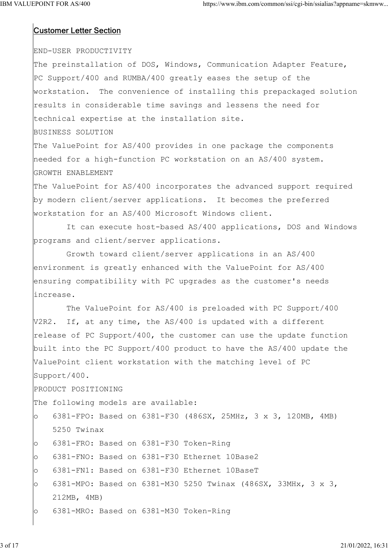# Customer Letter Section

# END-USER PRODUCTIVITY

The preinstallation of DOS, Windows, Communication Adapter Feature, PC Support/400 and RUMBA/400 greatly eases the setup of the workstation. The convenience of installing this prepackaged solution results in considerable time savings and lessens the need for technical expertise at the installation site.

### BUSINESS SOLUTION

The ValuePoint for AS/400 provides in one package the components needed for a high-function PC workstation on an AS/400 system. GROWTH ENABLEMENT

The ValuePoint for AS/400 incorporates the advanced support required by modern client/server applications. It becomes the preferred workstation for an AS/400 Microsoft Windows client.

 It can execute host-based AS/400 applications, DOS and Windows programs and client/server applications.

 Growth toward client/server applications in an AS/400 environment is greatly enhanced with the ValuePoint for AS/400 ensuring compatibility with PC upgrades as the customer's needs increase.

 The ValuePoint for AS/400 is preloaded with PC Support/400 V2R2. If, at any time, the AS/400 is updated with a different release of PC Support/400, the customer can use the update function built into the PC Support/400 product to have the AS/400 update the ValuePoint client workstation with the matching level of PC Support/400.

PRODUCT POSITIONING

The following models are available:

o 6381-FPO: Based on 6381-F30 (486SX, 25MHz, 3 x 3, 120MB, 4MB) 5250 Twinax

- o 6381-FRO: Based on 6381-F30 Token-Ring
- o 6381-FNO: Based on 6381-F30 Ethernet 10Base2
- o 6381-FN1: Based on 6381-F30 Ethernet 10BaseT
- o 6381-MPO: Based on 6381-M30 5250 Twinax (486SX, 33MHx, 3 x 3, 212MB, 4MB)
- o 6381-MRO: Based on 6381-M30 Token-Ring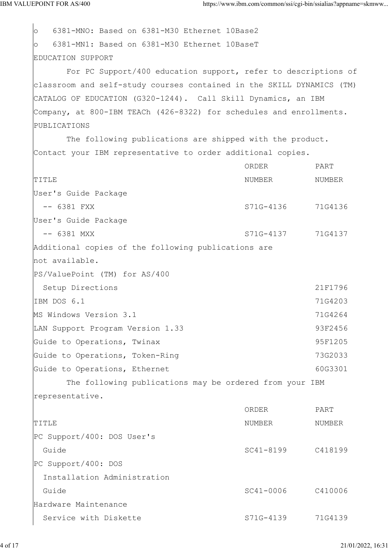o 6381-MNO: Based on 6381-M30 Ethernet 10Base2 o 6381-MN1: Based on 6381-M30 Ethernet 10BaseT EDUCATION SUPPORT For PC Support/400 education support, refer to descriptions of classroom and self-study courses contained in the SKILL DYNAMICS (TM) CATALOG OF EDUCATION (G320-1244). Call Skill Dynamics, an IBM Company, at 800-IBM TEACh (426-8322) for schedules and enrollments. PUBLICATIONS The following publications are shipped with the product. Contact your IBM representative to order additional copies. ORDER PART TITLE TITLE SERVICES IN THE SERVICE RELATIONS OF THE RELATIONS OF THE RELATIONSHIPS AND NUMBER AND NUMBER User's Guide Package -- 6381 FXX S71G-4136 71G4136 User's Guide Package -- 6381 MXX S71G-4137 71G4137 Additional copies of the following publications are not available. PS/ValuePoint (TM) for AS/400 Setup Directions 21F1796 IBM DOS 6.1 71G4203 MS Windows Version 3.1 71G4264 LAN Support Program Version 1.33 93F2456 Guide to Operations, Twinax extended to the SSF1205 Guide to Operations, Token-Ring 73G2033 Guide to Operations, Ethernet 60G3301 The following publications may be ordered from your IBM representative. ORDER PART TITLE TITLE SERVICES IN THE SERVICE RELATIONS OF THE RELATIONS OF THE RELATIONSHIPS AND NUMBER AND NUMBER PC Support/400: DOS User's Guide SC41-8199 C418199 PC Support/400: DOS Installation Administration Guide C410006 C410006 Hardware Maintenance Service with Diskette S71G-4139 71G4139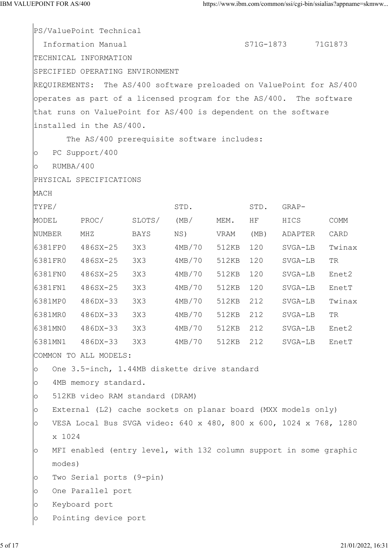PS/ValuePoint Technical Information Manual S71G-1873 71G1873 TECHNICAL INFORMATION SPECIFIED OPERATING ENVIRONMENT REQUIREMENTS: The AS/400 software preloaded on ValuePoint for AS/400 operates as part of a licensed program for the AS/400. The software that runs on ValuePoint for AS/400 is dependent on the software installed in the AS/400. The AS/400 prerequisite software includes: o PC Support/400 o RUMBA/400 PHYSICAL SPECIFICATIONS MACH TYPE/ STD. STD. STD. GRAP-MODEL PROC/ SLOTS/ (MB/ MEM. HF HICS COMM NUMBER MHZ BAYS NS) VRAM (MB) ADAPTER CARD 6381FP0 486SX-25 3X3 4MB/70 512KB 120 SVGA-LB Twinax 6381FR0 486SX-25 3X3 4MB/70 512KB 120 SVGA-LB TR 6381FN0 486SX-25 3X3 4MB/70 512KB 120 SVGA-LB Enet2 6381FN1 486SX-25 3X3 4MB/70 512KB 120 SVGA-LB EnetT 6381MP0 486DX-33 3X3 4MB/70 512KB 212 SVGA-LB Twinax 6381MR0 486DX-33 3X3 4MB/70 512KB 212 SVGA-LB TR 6381MN0 486DX-33 3X3 4MB/70 512KB 212 SVGA-LB Enet2 6381MN1 486DX-33 3X3 4MB/70 512KB 212 SVGA-LB EnetT COMMON TO ALL MODELS: o One 3.5-inch, 1.44MB diskette drive standard o 4MB memory standard. o 512KB video RAM standard (DRAM) o External (L2) cache sockets on planar board (MXX models only) o VESA Local Bus SVGA video: 640 x 480, 800 x 600, 1024 x 768, 1280 x 1024 o MFI enabled (entry level, with 132 column support in some graphic modes) o Two Serial ports (9-pin) o One Parallel port o Keyboard port o Pointing device port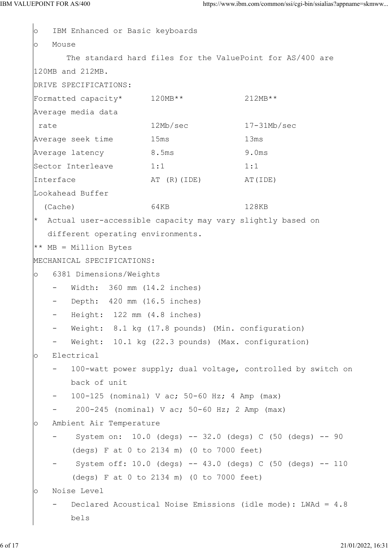```
o IBM Enhanced or Basic keyboards
o Mouse
       The standard hard files for the ValuePoint for AS/400 are
120MB and 212MB.
DRIVE SPECIFICATIONS:
Formatted capacity* 120MB** 212MB**
Average media data
rate 12Mb/sec 17-31Mb/sec
Average seek time 15ms 13ms
Average latency 5.5ms 9.0ms
\text{Sector} Interleave 1:1 1:1 1:1
Interface AT (R) (IDE) AT AT (IDE)Lookahead Buffer
 (Cache) 64KB 128KB
 Actual user-accessible capacity may vary slightly based on
   different operating environments.
** MB = Million Bytes
MECHANICAL SPECIFICATIONS:
o 6381 Dimensions/Weights
    - Width: 360 mm (14.2 inches)
      Depth: 420 mm (16.5 inches)
      Height: 122 mm (4.8 inches)
      Weight: 8.1 kg (17.8 pounds) (Min. configuration)
      Weight: 10.1 kg (22.3 pounds) (Max. configuration)
o Electrical
       100-watt power supply; dual voltage, controlled by switch on
       back of unit
       - 100-125 (nominal) V ac; 50-60 Hz; 4 Amp (max)
        - 200-245 (nominal) V ac; 50-60 Hz; 2 Amp (max)
o Ambient Air Temperature
       System on: 10.0 (degs) - 32.0 (degs) C (50 (degs) - 90
        (degs) F at 0 to 2134 m) (0 to 7000 feet)
       System off: 10.0 (degs) -- 43.0 (degs) C (50 (degs) -- 110
        (degs) F at 0 to 2134 m) (0 to 7000 feet)
o Noise Level
      Declared Acoustical Noise Emissions (idle mode): LWAd = 4.8
bels and the set of \mathcal{L}
```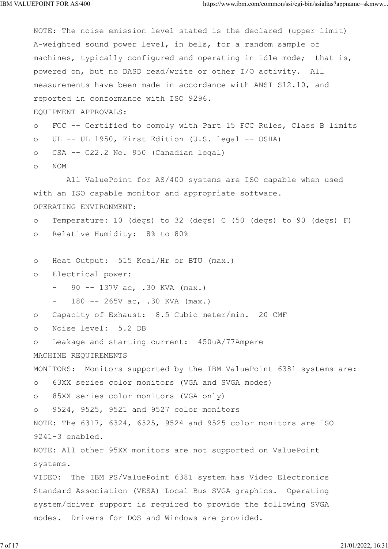NOTE: The noise emission level stated is the declared (upper limit) A-weighted sound power level, in bels, for a random sample of machines, typically configured and operating in idle mode; that is, powered on, but no DASD read/write or other I/O activity. All measurements have been made in accordance with ANSI S12.10, and reported in conformance with ISO 9296. EQUIPMENT APPROVALS: o FCC -- Certified to comply with Part 15 FCC Rules, Class B limits  $\circ$  UL -- UL 1950, First Edition (U.S. legal -- OSHA) o CSA -- C22.2 No. 950 (Canadian legal) o NOM All ValuePoint for AS/400 systems are ISO capable when used with an ISO capable monitor and appropriate software. OPERATING ENVIRONMENT: o Temperature: 10 (degs) to 32 (degs) C (50 (degs) to 90 (degs) F) o Relative Humidity: 8% to 80% o Heat Output: 515 Kcal/Hr or BTU (max.) o Electrical power: 90 -- 137V ac, .30 KVA (max.) 180 -- 265V ac, .30 KVA (max.) o Capacity of Exhaust: 8.5 Cubic meter/min. 20 CMF o Noise level: 5.2 DB o Leakage and starting current: 450uA/77Ampere MACHINE REQUIREMENTS MONITORS: Monitors supported by the IBM ValuePoint 6381 systems are: o 63XX series color monitors (VGA and SVGA modes) o 85XX series color monitors (VGA only) 9524, 9525, 9521 and 9527 color monitors NOTE: The 6317, 6324, 6325, 9524 and 9525 color monitors are ISO 9241-3 enabled. NOTE: All other 95XX monitors are not supported on ValuePoint systems. VIDEO: The IBM PS/ValuePoint 6381 system has Video Electronics Standard Association (VESA) Local Bus SVGA graphics. Operating system/driver support is required to provide the following SVGA modes. Drivers for DOS and Windows are provided.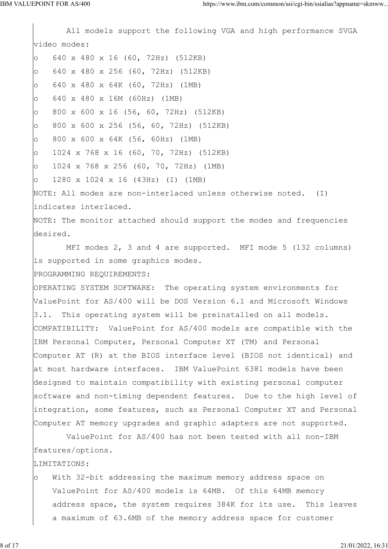All models support the following VGA and high performance SVGA video modes: o 640 x 480 x 16 (60, 72Hz) (512KB) o 640 x 480 x 256 (60, 72Hz) (512KB) o 640 x 480 x 64K (60, 72Hz) (1MB) o 640 x 480 x 16M (60Hz) (1MB) o 800 x 600 x 16 (56, 60, 72Hz) (512KB) o 800 x 600 x 256 (56, 60, 72Hz) (512KB) o 800 x 600 x 64K (56, 60Hz) (1MB) o 1024 x 768 x 16 (60, 70, 72Hz) (512KB) o 1024 x 768 x 256 (60, 70, 72Hz) (1MB) o 1280 x 1024 x 16 (43Hz) (I) (1MB) NOTE: All modes are non-interlaced unless otherwise noted. (I) indicates interlaced. NOTE: The monitor attached should support the modes and frequencies desired. MFI modes 2, 3 and 4 are supported. MFI mode 5 (132 columns) is supported in some graphics modes. PROGRAMMING REQUIREMENTS: OPERATING SYSTEM SOFTWARE: The operating system environments for ValuePoint for AS/400 will be DOS Version 6.1 and Microsoft Windows 3.1. This operating system will be preinstalled on all models. COMPATIBILITY: ValuePoint for AS/400 models are compatible with the IBM Personal Computer, Personal Computer XT (TM) and Personal Computer AT (R) at the BIOS interface level (BIOS not identical) and at most hardware interfaces. IBM ValuePoint 6381 models have been designed to maintain compatibility with existing personal computer software and non-timing dependent features. Due to the high level of integration, some features, such as Personal Computer XT and Personal Computer AT memory upgrades and graphic adapters are not supported. ValuePoint for AS/400 has not been tested with all non-IBM features/options.

LIMITATIONS:

o With 32-bit addressing the maximum memory address space on ValuePoint for AS/400 models is 64MB. Of this 64MB memory address space, the system requires 384K for its use. This leaves a maximum of 63.6MB of the memory address space for customer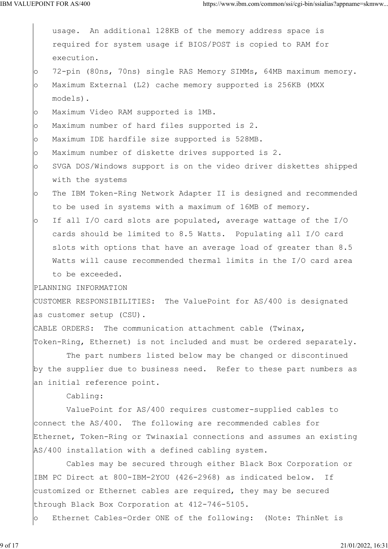|         | usage. An additional 128KB of the memory address space is             |
|---------|-----------------------------------------------------------------------|
|         | required for system usage if BIOS/POST is copied to RAM for           |
|         | execution.                                                            |
| $\circ$ | 72-pin (80ns, 70ns) single RAS Memory SIMMs, 64MB maximum memory.     |
| $\circ$ | Maximum External (L2) cache memory supported is 256KB (MXX            |
|         | models).                                                              |
| $\circ$ | Maximum Video RAM supported is 1MB.                                   |
| $\circ$ | Maximum number of hard files supported is 2.                          |
| $\circ$ | Maximum IDE hardfile size supported is 528MB.                         |
| $\circ$ | Maximum number of diskette drives supported is 2.                     |
| $\circ$ | SVGA DOS/Windows support is on the video driver diskettes shipped     |
|         | with the systems                                                      |
| $\circ$ | The IBM Token-Ring Network Adapter II is designed and recommended     |
|         | to be used in systems with a maximum of 16MB of memory.               |
| $\circ$ | If all I/O card slots are populated, average wattage of the I/O       |
|         | cards should be limited to 8.5 Watts. Populating all I/O card         |
|         | slots with options that have an average load of greater than 8.5      |
|         | Watts will cause recommended thermal limits in the I/O card area      |
|         | to be exceeded.                                                       |
|         | PLANNING INFORMATION                                                  |
|         | CUSTOMER RESPONSIBILITIES: The ValuePoint for AS/400 is designated    |
|         | as customer setup (CSU).                                              |
|         | CABLE ORDERS: The communication attachment cable (Twinax,             |
|         | Token-Ring, Ethernet) is not included and must be ordered separately. |
|         | The part numbers listed below may be changed or discontinued          |
|         | by the supplier due to business need. Refer to these part numbers as  |
|         | an initial reference point.                                           |
|         | Cabling:                                                              |
|         | ValuePoint for AS/400 requires customer-supplied cables to            |
|         | connect the AS/400. The following are recommended cables for          |
|         | Ethernet, Token-Ring or Twinaxial connections and assumes an existing |
|         | AS/400 installation with a defined cabling system.                    |
|         | Cables may be secured through either Black Box Corporation or         |
|         | IBM PC Direct at 800-IBM-2YOU (426-2968) as indicated below. If       |
|         | customized or Ethernet cables are required, they may be secured       |
|         | through Black Box Corporation at 412-746-5105.                        |
| $\circ$ | Ethernet Cables-Order ONE of the following: (Note: ThinNet is         |
|         |                                                                       |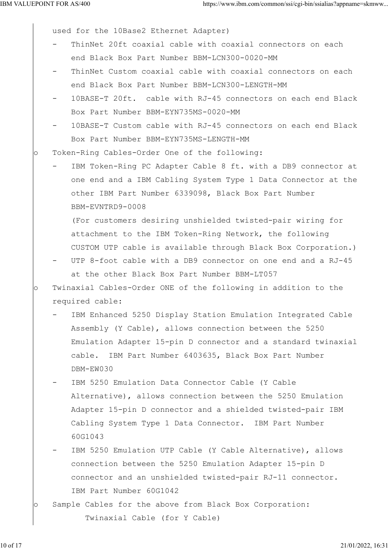used for the 10Base2 Ethernet Adapter)

- ThinNet 20ft coaxial cable with coaxial connectors on each end Black Box Part Number BBM-LCN300-0020-MM
- ThinNet Custom coaxial cable with coaxial connectors on each end Black Box Part Number BBM-LCN300-LENGTH-MM
- 10BASE-T 20ft. cable with RJ-45 connectors on each end Black Box Part Number BBM-EYN735MS-0020-MM
- 10BASE-T Custom cable with RJ-45 connectors on each end Black Box Part Number BBM-EYN735MS-LENGTH-MM
- o Token-Ring Cables-Order One of the following:
	- IBM Token-Ring PC Adapter Cable 8 ft. with a DB9 connector at one end and a IBM Cabling System Type 1 Data Connector at the other IBM Part Number 6339098, Black Box Part Number BBM-EVNTRD9-0008

 (For customers desiring unshielded twisted-pair wiring for attachment to the IBM Token-Ring Network, the following CUSTOM UTP cable is available through Black Box Corporation.)

- UTP 8-foot cable with a DB9 connector on one end and a RJ-45 at the other Black Box Part Number BBM-LT057
- o Twinaxial Cables-Order ONE of the following in addition to the required cable:
	- IBM Enhanced 5250 Display Station Emulation Integrated Cable Assembly (Y Cable), allows connection between the 5250 Emulation Adapter 15-pin D connector and a standard twinaxial cable. IBM Part Number 6403635, Black Box Part Number DBM-EW030

IBM 5250 Emulation Data Connector Cable (Y Cable Alternative), allows connection between the 5250 Emulation Adapter 15-pin D connector and a shielded twisted-pair IBM Cabling System Type 1 Data Connector. IBM Part Number 60G1043

- IBM 5250 Emulation UTP Cable (Y Cable Alternative), allows connection between the 5250 Emulation Adapter 15-pin D connector and an unshielded twisted-pair RJ-11 connector. IBM Part Number 60G1042
- o Sample Cables for the above from Black Box Corporation: Twinaxial Cable (for Y Cable)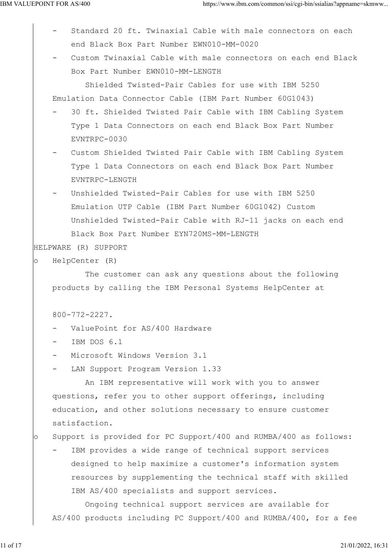- Standard 20 ft. Twinaxial Cable with male connectors on each end Black Box Part Number EWN010-MM-0020
- Custom Twinaxial Cable with male connectors on each end Black Box Part Number EWN010-MM-LENGTH

 Shielded Twisted-Pair Cables for use with IBM 5250 Emulation Data Connector Cable (IBM Part Number 60G1043)

- 30 ft. Shielded Twisted Pair Cable with IBM Cabling System Type 1 Data Connectors on each end Black Box Part Number EVNTRPC-0030
- Custom Shielded Twisted Pair Cable with IBM Cabling System Type 1 Data Connectors on each end Black Box Part Number EVNTRPC-LENGTH
- Unshielded Twisted-Pair Cables for use with IBM 5250 Emulation UTP Cable (IBM Part Number 60G1042) Custom Unshielded Twisted-Pair Cable with RJ-11 jacks on each end Black Box Part Number EYN720MS-MM-LENGTH

HELPWARE (R) SUPPORT

```
o HelpCenter (R)
```
 The customer can ask any questions about the following products by calling the IBM Personal Systems HelpCenter at

800-772-2227.

- ValuePoint for AS/400 Hardware
- IBM DOS 6.1
- Microsoft Windows Version 3.1
- LAN Support Program Version 1.33

 An IBM representative will work with you to answer questions, refer you to other support offerings, including education, and other solutions necessary to ensure customer satisfaction.

o Support is provided for PC Support/400 and RUMBA/400 as follows:

IBM provides a wide range of technical support services designed to help maximize a customer's information system resources by supplementing the technical staff with skilled IBM AS/400 specialists and support services.

 Ongoing technical support services are available for AS/400 products including PC Support/400 and RUMBA/400, for a fee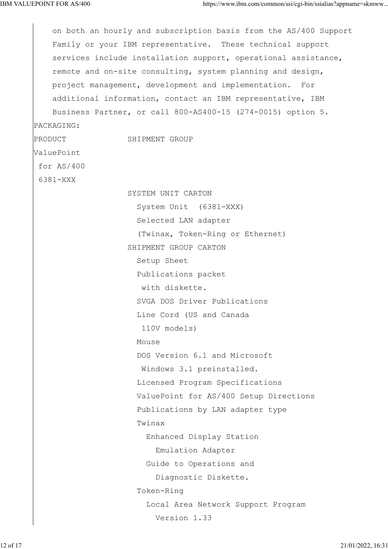on both an hourly and subscription basis from the AS/400 Support Family or your IBM representative. These technical support services include installation support, operational assistance, remote and on-site consulting, system planning and design, project management, development and implementation. For additional information, contact an IBM representative, IBM Business Partner, or call 800-AS400-15 (274-0015) option 5. PACKAGING: PRODUCT SHIPMENT GROUP ValuePoint for AS/400 6381-XXX SYSTEM UNIT CARTON System Unit (6381-XXX) Selected LAN adapter (Twinax, Token-Ring or Ethernet) SHIPMENT GROUP CARTON Setup Sheet Publications packet with diskette. SVGA DOS Driver Publications Line Cord (US and Canada 110V models) Mouse **Monday**  DOS Version 6.1 and Microsoft Windows 3.1 preinstalled. Licensed Program Specifications ValuePoint for AS/400 Setup Directions Publications by LAN adapter type Twinax Enhanced Display Station Emulation Adapter Guide to Operations and Diagnostic Diskette. Token-Ring Local Area Network Support Program Version 1.33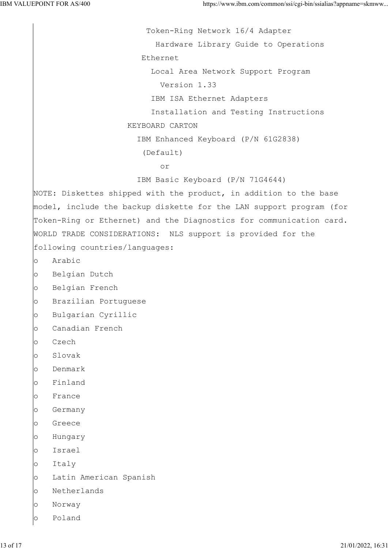Token-Ring Network 16/4 Adapter Hardware Library Guide to Operations Ethernet Local Area Network Support Program Version 1.33 IBM ISA Ethernet Adapters Installation and Testing Instructions KEYBOARD CARTON IBM Enhanced Keyboard (P/N 61G2838) (Default) or IBM Basic Keyboard (P/N 71G4644) NOTE: Diskettes shipped with the product, in addition to the base model, include the backup diskette for the LAN support program (for Token-Ring or Ethernet) and the Diagnostics for communication card. WORLD TRADE CONSIDERATIONS: NLS support is provided for the following countries/languages: o Arabic o Belgian Dutch o Belgian French o Brazilian Portuguese o Bulgarian Cyrillic o Canadian French o Czech o Slovak o Denmark o Finland o France o Germany o Greece o Hungary o Israel o Italy o Latin American Spanish o Netherlands o Norway o Poland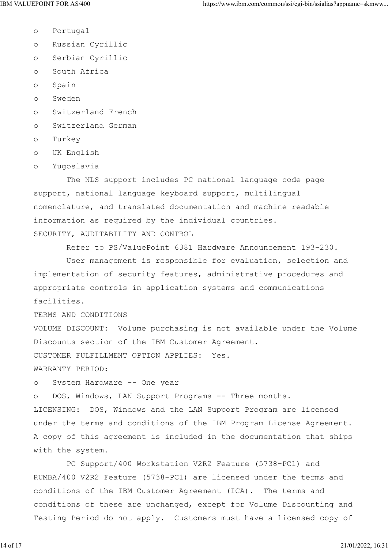o Portugal o Russian Cyrillic o Serbian Cyrillic o South Africa o Spain o Sweden

- o Switzerland French
- o Switzerland German
- o Turkey
- o UK English
- o Yugoslavia

 The NLS support includes PC national language code page support, national language keyboard support, multilingual nomenclature, and translated documentation and machine readable information as required by the individual countries. SECURITY, AUDITABILITY AND CONTROL

Refer to PS/ValuePoint 6381 Hardware Announcement 193-230.

 User management is responsible for evaluation, selection and implementation of security features, administrative procedures and appropriate controls in application systems and communications facilities.

TERMS AND CONDITIONS

VOLUME DISCOUNT: Volume purchasing is not available under the Volume Discounts section of the IBM Customer Agreement.

CUSTOMER FULFILLMENT OPTION APPLIES: Yes.

WARRANTY PERIOD:

o System Hardware -- One year

o DOS, Windows, LAN Support Programs -- Three months.

LICENSING: DOS, Windows and the LAN Support Program are licensed under the terms and conditions of the IBM Program License Agreement. A copy of this agreement is included in the documentation that ships with the system.

 PC Support/400 Workstation V2R2 Feature (5738-PC1) and RUMBA/400 V2R2 Feature (5738-PC1) are licensed under the terms and conditions of the IBM Customer Agreement (ICA). The terms and conditions of these are unchanged, except for Volume Discounting and Testing Period do not apply. Customers must have a licensed copy of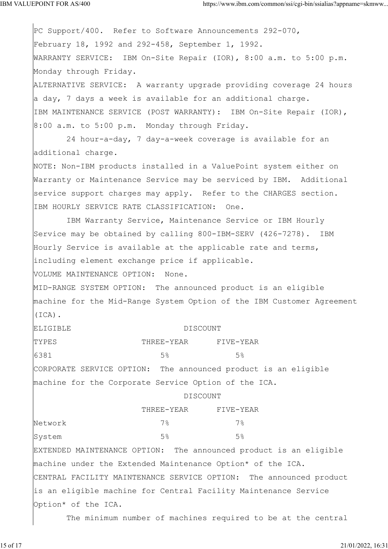PC Support/400. Refer to Software Announcements 292-070, February 18, 1992 and 292-458, September 1, 1992. WARRANTY SERVICE: IBM On-Site Repair (IOR), 8:00 a.m. to 5:00 p.m. Monday through Friday. ALTERNATIVE SERVICE: A warranty upgrade providing coverage 24 hours a day, 7 days a week is available for an additional charge. IBM MAINTENANCE SERVICE (POST WARRANTY): IBM On-Site Repair (IOR), 8:00 a.m. to 5:00 p.m. Monday through Friday. 24 hour-a-day, 7 day-a-week coverage is available for an additional charge. NOTE: Non-IBM products installed in a ValuePoint system either on Warranty or Maintenance Service may be serviced by IBM. Additional service support charges may apply. Refer to the CHARGES section. IBM HOURLY SERVICE RATE CLASSIFICATION: One. IBM Warranty Service, Maintenance Service or IBM Hourly Service may be obtained by calling 800-IBM-SERV (426-7278). IBM Hourly Service is available at the applicable rate and terms, including element exchange price if applicable. VOLUME MAINTENANCE OPTION: None. MID-RANGE SYSTEM OPTION: The announced product is an eligible machine for the Mid-Range System Option of the IBM Customer Agreement (ICA). ELIGIBLE DISCOUNT TYPES THREE-YEAR FIVE-YEAR 6381 5% 5% CORPORATE SERVICE OPTION: The announced product is an eligible machine for the Corporate Service Option of the ICA. DISCOUNT THREE-YEAR FIVE-YEAR Network 7% 7% System 5% 5% 5% 5% EXTENDED MAINTENANCE OPTION: The announced product is an eligible machine under the Extended Maintenance Option\* of the ICA. CENTRAL FACILITY MAINTENANCE SERVICE OPTION: The announced product is an eligible machine for Central Facility Maintenance Service Option\* of the ICA.

The minimum number of machines required to be at the central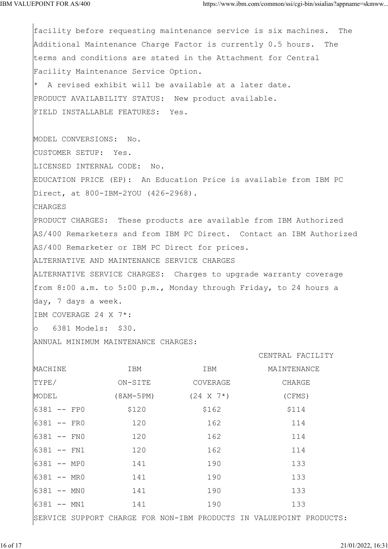facility before requesting maintenance service is six machines. The Additional Maintenance Charge Factor is currently 0.5 hours. The terms and conditions are stated in the Attachment for Central Facility Maintenance Service Option. \* A revised exhibit will be available at a later date. PRODUCT AVAILABILITY STATUS: New product available. FIELD INSTALLABLE FEATURES: Yes. MODEL CONVERSIONS: No. CUSTOMER SETUP: Yes. LICENSED INTERNAL CODE: No. EDUCATION PRICE (EP): An Education Price is available from IBM PC Direct, at 800-IBM-2YOU (426-2968). CHARGES PRODUCT CHARGES: These products are available from IBM Authorized AS/400 Remarketers and from IBM PC Direct. Contact an IBM Authorized AS/400 Remarketer or IBM PC Direct for prices. ALTERNATIVE AND MAINTENANCE SERVICE CHARGES ALTERNATIVE SERVICE CHARGES: Charges to upgrade warranty coverage from 8:00 a.m. to 5:00 p.m., Monday through Friday, to 24 hours a day, 7 days a week. IBM COVERAGE 24 X 7\*: o 6381 Models: \$30. ANNUAL MINIMUM MAINTENANCE CHARGES: CENTRAL FACILITY MACHINE IBM IBM MAINTENANCE TYPE/ ON-SITE COVERAGE CHARGE MODEL (8AM-5PM) (24 X 7\*) (CFMS) 6381 -- FP0 \$120 \$162 \$162 \$114 6381 -- FR0 120 162 114 6381 -- FN0 120 162 114 6381 -- FN1 120 162 114 6381 -- MP0 141 190 133 6381 -- MR0 141 190 133 6381 -- MNO 141 190 133 6381 -- MN1 141 190 133

SERVICE SUPPORT CHARGE FOR NON-IBM PRODUCTS IN VALUEPOINT PRODUCTS: